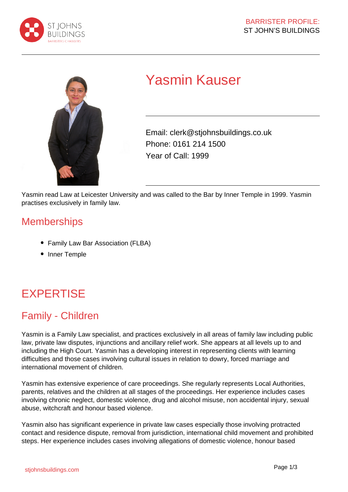



# Yasmin Kauser

Email: clerk@stjohnsbuildings.co.uk Phone: 0161 214 1500 Year of Call: 1999

Yasmin read Law at Leicester University and was called to the Bar by Inner Temple in 1999. Yasmin practises exclusively in family law.

### **Memberships**

- Family Law Bar Association (FLBA)
- Inner Temple

## **EXPERTISE**

## Family - Children

Yasmin is a Family Law specialist, and practices exclusively in all areas of family law including public law, private law disputes, injunctions and ancillary relief work. She appears at all levels up to and including the High Court. Yasmin has a developing interest in representing clients with learning difficulties and those cases involving cultural issues in relation to dowry, forced marriage and international movement of children.

Yasmin has extensive experience of care proceedings. She regularly represents Local Authorities, parents, relatives and the children at all stages of the proceedings. Her experience includes cases involving chronic neglect, domestic violence, drug and alcohol misuse, non accidental injury, sexual abuse, witchcraft and honour based violence.

Yasmin also has significant experience in private law cases especially those involving protracted contact and residence dispute, removal from jurisdiction, international child movement and prohibited steps. Her experience includes cases involving allegations of domestic violence, honour based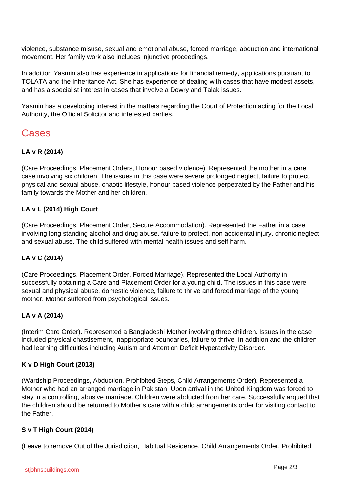violence, substance misuse, sexual and emotional abuse, forced marriage, abduction and international movement. Her family work also includes injunctive proceedings.

In addition Yasmin also has experience in applications for financial remedy, applications pursuant to TOLATA and the Inheritance Act. She has experience of dealing with cases that have modest assets, and has a specialist interest in cases that involve a Dowry and Talak issues.

Yasmin has a developing interest in the matters regarding the Court of Protection acting for the Local Authority, the Official Solicitor and interested parties.

## Cases

#### **LA v R (2014)**

(Care Proceedings, Placement Orders, Honour based violence). Represented the mother in a care case involving six children. The issues in this case were severe prolonged neglect, failure to protect, physical and sexual abuse, chaotic lifestyle, honour based violence perpetrated by the Father and his family towards the Mother and her children.

#### **LA v L (2014) High Court**

(Care Proceedings, Placement Order, Secure Accommodation). Represented the Father in a case involving long standing alcohol and drug abuse, failure to protect, non accidental injury, chronic neglect and sexual abuse. The child suffered with mental health issues and self harm.

#### **LA v C (2014)**

(Care Proceedings, Placement Order, Forced Marriage). Represented the Local Authority in successfully obtaining a Care and Placement Order for a young child. The issues in this case were sexual and physical abuse, domestic violence, failure to thrive and forced marriage of the young mother. Mother suffered from psychological issues.

#### **LA v A (2014)**

(Interim Care Order). Represented a Bangladeshi Mother involving three children. Issues in the case included physical chastisement, inappropriate boundaries, failure to thrive. In addition and the children had learning difficulties including Autism and Attention Deficit Hyperactivity Disorder.

#### **K v D High Court (2013)**

(Wardship Proceedings, Abduction, Prohibited Steps, Child Arrangements Order). Represented a Mother who had an arranged marriage in Pakistan. Upon arrival in the United Kingdom was forced to stay in a controlling, abusive marriage. Children were abducted from her care. Successfully argued that the children should be returned to Mother's care with a child arrangements order for visiting contact to the Father.

#### **S v T High Court (2014)**

(Leave to remove Out of the Jurisdiction, Habitual Residence, Child Arrangements Order, Prohibited